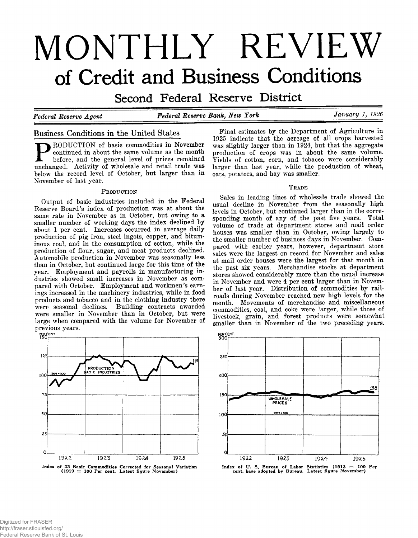# **MONTHLY REVIEW of Credit and Business Conditions**

Second Federal Reserve District

*Federal Reserve Agent Federal Reserve Bank***,** *New York* **\_\_\_\_\_\_\_\_\_\_\_\_\_\_\_\_\_\_\_\_** *January 1, 1926*

# **Business Conditions in the United States**

RODUCTION of basic commodities in November continued in about the same volume as the month before, and the general level of prices remained unchanged. Activity of wholesale and retail trade was below the record level of October, but larger than in November of last year.

#### PRODUCTION

Output of basic industries included in the Federal Reserve Board's index of production was at about the same rate in November as in October, but owing to a smaller number of working days the index declined by about 1 per cent. Increases occurred in average daily production of pig iron, steel ingots, copper, and bituminous coal, and in the consumption of cotton, while the production of flour, sugar, and meat products declined. Automobile production in November was seasonally less than in October, but continued large for this time of the year. Employment and payrolls in manufacturing industries showed small increases in November as compared with October. Employment and workmen's earnings increased in the machinery industries, while in food products and tobacco and in the clothing industry there were seasonal declines. Building contracts awarded were smaller in November than in October, but were large when compared with the volume for November of previous years.



Final estimates by the Department of Agriculture in 1925 indicate that the acreage of all crops harvested was slightly larger than in 1924, but that the aggregate production of crops was in about the same volume. Yields of cotton, corn, and tobacco were considerably larger than last year, while the production of wheat, oats, potatoes, and hay was smaller.

### TRADE

Sales in leading lines of wholesale trade showed the usual decline in November from the seasonally high levels in October, but continued larger than in the corresponding month of any of the past five years. Total volume of trade at department stores and mail order houses was smaller than in October, owing largely to the smaller number of business days in November. Compared with earlier years, however, department store sales were the largest on record for November and sales at mail order houses were the largest for that month in the past six years. Merchandise stocks at department stores showed considerably more than the usual increase in November and were 4 per cent larger than in November of last year. Distribution of commodities by railroads during November reached new high levels for the month. Movements of merchandise and miscellaneous commodities, coal, and coke were larger, while those of livestock, grain, and forest products were somewhat smaller than in November of the two preceding years.



Index of U. S. Bureau of Labor Statistics (1913 = 100 Per cent, base adopted by Bureau. Latest figure November)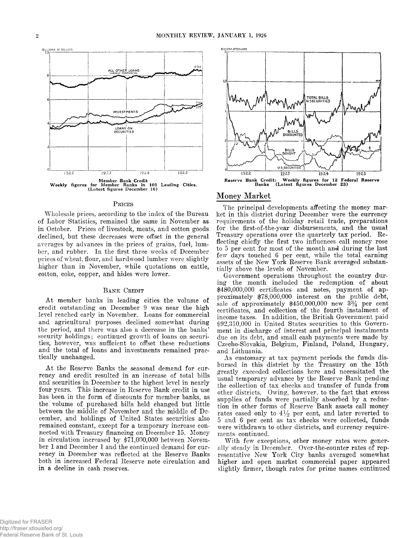

#### PRICES

Wholesale prices, according to the index of the Bureau of Labor Statistics, remained the same in November as in October. Prices of livestock, meats, and cotton goods declined, but these decreases were offset in the general averages by advances in the prices of grains, fuel, lumber, and rubber. In the first three weeks of December prices of wheat, flour, and hardwood lumber were slightly higher than in November, while quotations on cattle, cotton, coke, copper, and hides were lower.

#### BANK CREDIT

At member banks in leading cities the volume of credit outstanding on December 9 was near the high level reached early in November. Loans for commercial and agricultural purposes declined somewhat during the period, and there was also a decrease in the banks' security holdings; continued growth of loans on securities, however, was sufficient to offset these reductions and the total of loans and investments remained practically unchanged.

At the Reserve Banks the seasonal demand for currency and credit resulted in an increase of total bills and securities in December to the highest level in nearly four years. This increase in Reserve Bank credit in use has been in the form of discounts for member banks, as the volume of purchased bills held changed but little between the middle of November and the middle of December, and holdings of United States securities also remained constant, except for a temporary increase connected with Treasury financing on December 15. Money in circulation increased by \$71,000,000 between November 1 and December 1 and the continued demand for currency in December was reflected at the Reserve Banks both in increased Federal Reserve note circulation and in a decline in cash reserves.



#### Money Market

The principal developments affecting the money market in this district during December were the currency requirements of the holiday retail trade, preparations for the first-of-the-year disbursements, and the usual Treasury operations over the quarterly tax period. Reflecting chiefly the first two influences call money rose to 5 per cent for most of the month and during the last few days touched 6 per cent, while the total earning assets of the New York Reserve Bank averaged substantially above the levels of November.

Government operations throughout the country during the month included the redemption of about \$480,000,000 certificates and notes, payment of approximately \$78,000,000 interest on the public debt, sale of approximately  $$450,000,000$  new  $3\frac{3}{4}$  per cent certificates, and collection of the fourth instalment of income taxes. In addition, the British Government paid \$92,310,000 in United States securities to this Government in discharge of interest and principal instalments due on its debt, and small cash payments were made by Czecho-Slovakia, Belgium, Finland, Poland, Hungary, and Lithuania.

As customary at tax payment periods the funds disbursed in this district by the Treasury on the 15th greatly exceeded collections here and necessitated the usual temporary advance by the Reserve Bank pending the collection of tax checks and transfer of funds from other districts. Owing, however, to the fact that excess supplies of funds were partially absorbed by a reduction in other forms of Reserve Bank assets call money rates eased only to  $4\frac{1}{2}$  per cent, and later reverted to 5 and 6 per cent as tax checks were collected, funds were withdrawn to other districts, and currency requirements continued.

With few exceptions, other money rates were generally steady in December. Over-the-counter rates of representative New York City banks averaged somewhat higher and open market commercial paper appeared slightly firmer, though rates for prime names continued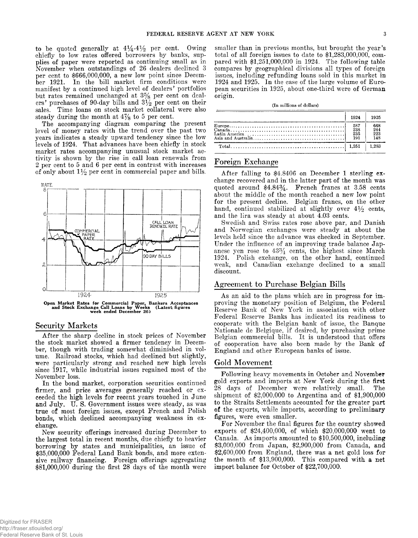to be quoted generally at  $4\frac{1}{4} - 4\frac{1}{2}$  per cent. Owing chiefly to low rates offered borrowers by banks, supplies of paper were reported as continuing small as in November when outstandings of 26 dealers declined 3 per cent to \$666,000,000, a new low point since December 1921. In the bill market firm conditions were manifest by a continued high level of dealers' portfolios but rates remained unchanged at 3% per cent on dealers' purchases of 90-day bills and  $3\frac{1}{2}$  per cent on their sales. Time loans on stock market collateral were also steady during the month at  $4\frac{7}{8}$  to 5 per cent.

The accompanying diagram comparing the present level of money rates with the trend over the past two years indicates a steady upward tendency since the low levels of 1924. That advances have been chiefly in stock market rates accompanying unusual stock market activity is shown by the rise in call loan renewals from 2 per cent to 5 and 6 per cent in contrast with increases of only about  $1\frac{1}{2}$  per cent in commercial paper and bills.



#### **Security Markets**

After the sharp decline in stock prices of November the stock market showed a firmer tendency in December, though with trading somewhat diminished in volume. Railroad stocks, which had declined but slightly, were particularly strong and reached new high levels since 1917, while industrial issues regained most of the November loss.

In the bond market, corporation securities continued firmer, and price averages generally reached or exceeded the high levels for recent years touched in June and July. U. S. Government issues were steady, as was true of most foreign issues, except French and Polish bonds, which declined accompanying weakness in exchange.

New security offerings increased during December to the largest total in recent months, due chiefly to heavier borrowing by states and municipalities, an issue of \$35,000,000 Federal Land Bank bonds, and more extensive railway financing. Foreign offerings aggregating \$81,000,000 during the first 28 days of the month were

smaller than in previous months, but brought the year's total of all foreign issues to date to \$1,283,000,000, compared with \$1,251,000,000 in 1924. The following table compares by geographical divisions all types of foreign issues, including refunding loans sold in this market in 1924 and 1925. In the case of the large volume of European securities in 1925, about one-third were of German origin.

#### **(In millions of dollars)**

| 1924              | 1925                     |
|-------------------|--------------------------|
| 587<br>238<br>235 | 668<br>244<br>223<br>148 |
|                   |                          |

## **Foreign Exchange**

After falling to \$4.8406 on December 1 sterling exchange recovered and in the latter part of the month was quoted around \$4.84%. French francs at 3.58 cents about the middle of the month reached a new low point for the present decline. Belgian francs, on the other hand, continued stabilized at slightly over  $4\frac{1}{2}$  cents, and the lira was steady at about 4.03 cents.

Swedish and Swiss rates rose above par, and Danish and Norwegian exchanges were steady at about the levels held since the advance was checked in September. Under the influence of an improving trade balance Japanese yen rose to 43% cents, the highest since March 1924. Polish exchange, on the other hand, continued weak, and Canadian exchange declined to a small discount.

## **Agreement to Purchase Belgian Bills**

As an aid to the plans which are in progress for improving the monetary position of Belgium, the Federal Reserve Bank of New York in association with other Federal Reserve Banks has indicated its readiness to cooperate with the Belgian bank of issue, the Banque Nationale de Belgique, if desired, by purchasing prime Belgian commercial bills. It is understood that offers of cooperation have also been made by the Bank of England and other European banks of issue.

# **Gold Movement**

Following heavy movements in October and November gold exports and imports at New York during the first 28 days of December were relatively small. The shipment of \$2,000,000 to Argentina and of \$1,900,000 to the Straits Settlements accounted for the greater part of the exports, while imports, according to preliminary figures, were even smaller.

For November the final figures for the country showed exports of \$24,400,000, of which \$20,000,000 went to Canada. As imports amounted to \$10,500,000, including \$3,000,000 from Japan, \$2,900,000 from Canada, and \$2,600,000 from England, there was a net gold loss for the month of \$13,900,000. This compared with **a** net import balance for October of \$22,700,000.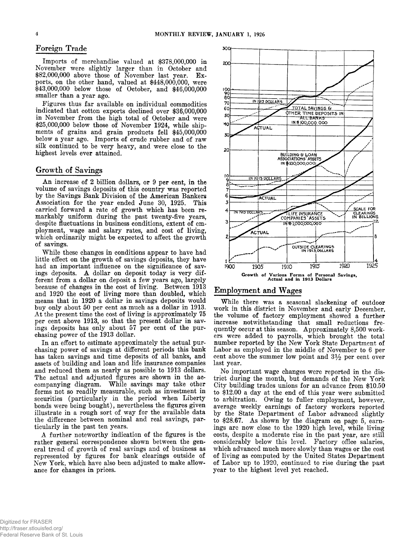## **Foreign Trade** 300

Imports of merchandise valued at \$378,000,000 in November were slightly larger than in October and \$82,000,000 above those of November last year. Exports, on the other hand, valued at \$448,000,000, were \$43,000,000 below those of October, and \$46,000,000 smaller than a year ago.

Figures thus far available on individual commodities indicated that cotton exports declined over \$36,000,000 in November from the high total of October and were \$25,000,000 below those of November 1924, while shipments of grains and grain products fell \$45,000,000 below a year ago. Imports of crude rubber and of raw silk continued to be very heavy, and were close to the highest levels ever attained.

## **Growth of Savings**

An increase of 2 billion dollars, or 9 per cent, in the volume of savings deposits of this country was reported by the Savings Bank Division of the American Bankers Association for the year ended June 30, 1925. This carried forward a rate of growth which has been remarkably uniform during the past twenty-five years, despite fluctuations in business conditions, extent of employment, wage and salary rates, and cost of living, which ordinarily might be expected to affect the growth of savings.

W hile these changes in conditions appear to have had little effect on the growth of savings deposits, they have had an important influence on the significance of savings deposits. A dollar on deposit today is very different from a dollar on deposit a few years ago, largely because of changes in the cost of living. Between 1913 and 1920 the cost of living more than doubled, which means that in 1920 a dollar in savings deposits would buy only about 50 per cent as much as a dollar in 1913. At the present time the cost of living is approximately 75 per cent above 1913, so that the present dollar in savings deposits has only about 57 per cent of the purchasing power of the 1913 dollar.

In an effort to estimate approximately the actual purchasing power of savings at different periods this bank has taken savings and time deposits of all banks, and assets of building and loan and life insurance companies and reduced them as nearly as possible to 1913 dollars. The actual and adjusted figures are shown in the accompanying diagram. While savings may take other forms not so readily measurable, such as investment in securities (particularly in the period when Liberty bonds were being bought), nevertheless the figures given illustrate in a rough sort of way for the available data the difference between nominal and real savings, particularly in the past ten years.

A further noteworthy indication of the figures is the rather general correspondence shown between the general trend of growth of real savings and of business as represented by figures for bank clearings outside of New York, which have also been adjusted to make allowance for changes in prices.



### **Employment and Wages**

While there was a seasonal slackening of outdoor work in this district in November and early December, the volume of factory employment showed a further increase notwithstanding that small reductions frequently occur at this season. Approximately 8,500 workers were added to payrolls, which brought the total number reported by the New York State Department of Labor as employed in the middle of November to 6 per cent above the summer low point and  $3\frac{1}{2}$  per cent over last year.

No important wage changes were reported in the district during the month, but demands of the New York City building trades unions for an advance from \$10.50 to \$12.00 a day at the end of this year were submitted to arbitration. Owing to fuller employment, however, average weekly earnings of factory workers reported by the State Department of Labor advanced slightly to \$28.67. As shown by the diagram on page 5, earnings are now close to the 1920 high level, while living costs, despite a moderate rise in the past year, are still considerably below this level. Factory office salaries, which advanced much more slowly than wages or the cost of living as computed by the United States Department of Labor up to 1920, continued to rise during the past year to the highest level yet reached.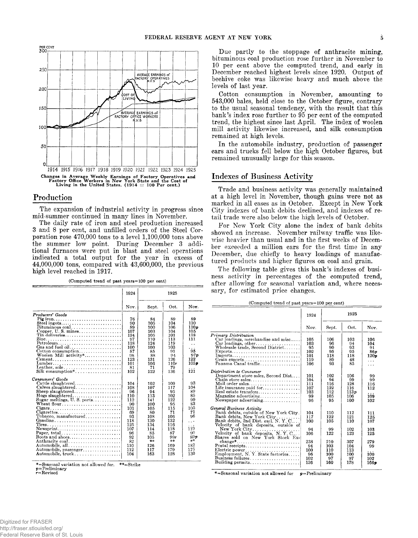

## **Production**

The expansion of industrial activity in progress since mid-summer continued in many lines in November.

The daily rate of iron and steel production increased 3 and 8 per cent, and unfilled orders of the Steel Corporation rose 470,000 tons to a level 1,100,000 tons above the summer low point. During December 3 additional furnaces were put in blast and steel operations indicated a total output for the year in excess of 44,000,000 tons, compared with 43,600,000, the previous high level reached in 1917.

**(Computed trend of past years =100 per cent)**

|                                                                                                                                                                                                                                                                                                                                                                                                                                                                | 1924                                                                                                                                                      |                                                                                                                                                                | 1925                                                                                                                                                            |                                                                                                                                                                     |
|----------------------------------------------------------------------------------------------------------------------------------------------------------------------------------------------------------------------------------------------------------------------------------------------------------------------------------------------------------------------------------------------------------------------------------------------------------------|-----------------------------------------------------------------------------------------------------------------------------------------------------------|----------------------------------------------------------------------------------------------------------------------------------------------------------------|-----------------------------------------------------------------------------------------------------------------------------------------------------------------|---------------------------------------------------------------------------------------------------------------------------------------------------------------------|
|                                                                                                                                                                                                                                                                                                                                                                                                                                                                | Nov.                                                                                                                                                      | Sept.                                                                                                                                                          | Oct.                                                                                                                                                            | Nov.                                                                                                                                                                |
| Producers' Goods<br>Pig iron<br>Steel ingots<br>Bituminous coal<br>Tin deliveries<br>Petroleum<br>Gas and fuel oil<br>$\text{Cottom consumption} \dots \dots \dots \dots \dots \dots$<br>Woolen Mill $activity^*$<br>Cement<br>Lumber<br>Leather, sole<br>Consumers' Goods<br>Cattle slaughtered<br>Calves slaughtered<br>Sheep slaughtered<br>Hogs slaughtered<br>Sugar meltings, U.S. ports<br>Cigars<br>$Cigare ttes.$<br>Tobacco, manufactured<br>Gasoline | 76<br>90<br>89<br>107<br>124<br>97<br>118<br>100<br>87<br>98<br>123<br>101<br>81<br>102<br>104<br>108<br>96<br>110<br>112<br>90<br>101<br>69<br>93<br>118 | 84<br>105<br>100<br>103<br>105<br>110<br>124<br>100<br>85<br>88<br>131<br>106<br>71<br>122<br>102<br>107<br>94<br>113<br>141<br>100<br>105<br>80<br>108<br>130 | 89<br>104<br>106<br>104<br>101<br>113<br>119<br>103<br>91<br>0.4<br>126<br>110r<br>79<br>136<br>109<br>117<br>95<br>102<br>122<br>95<br>115<br>71<br>106<br>132 | 89<br>110<br>110p<br>105<br>118<br>111<br>$\ddot{\phantom{0}}$<br>.<br>95<br>97n<br>122<br>105p<br>121<br>93<br>104<br>89<br>85<br>99<br>83<br>105<br>71<br>96<br>. |
| ${\bf Newsprint} \dots \dots \dots \dots \dots \dots \dots \dots \dots$<br>Paper, total<br>Boots and shoes<br>Anthracite coal<br>Automobile, all<br>Automobile, passenger<br>Automobile, truck                                                                                                                                                                                                                                                                 | 125<br>107<br>96<br>92<br>82<br>110<br>112<br>104                                                                                                         | 134<br>114<br>85<br>105<br>÷≉<br>126<br>117<br>163                                                                                                             | 116<br>118<br>87<br>99r<br>未未<br>169<br>179<br>128                                                                                                              | 119<br>90<br>89p<br>**<br>182<br>175<br>130                                                                                                                         |

\*=Seasonal variation not allowed for. \*\*=Strike<br>p=Prelimin**ary** 

**r=Revised**

Due partly to the stoppage of anthracite mining, bituminous coal production rose further in November to 10 per cent above the computed trend, and early in December reached highest levels since 1920. Output of beehive coke was likewise heavy and much above the levels of last year.

Cotton consumption in November, amounting to 543,000 bales, held close to the October figure, contrary to the usual seasonal tendency, with the result that this bank's index rose further to 95 per cent of the computed trend, the highest since last April. The index of woolen mill activity likewise increased, and silk consumption remained at high levels.

In the automobile industry, production of passenger cars and trucks fell below the high October figures, but remained unusually large for this season.

## **Indexes of Business Activity**

Trade and business activity was generally maintained at a high level in November, though gains were not as marked in all cases as in October. Except in New York City indexes of bank debits declined, and indexes of retail trade were also below the high levels of October.

For New York City alone the index of bank debits showed an increase. November railway traffic was likewise heavier than usual and in the first weeks of December exceeded a million cars for the first time in any December, due chiefly to heavy loadings of manufactured products and higher figures on coal and grain.

The following table gives this bank's indexes of business activity in percentages of the computed trend, after allowing for seasonal variation and, where necessary, for estimated price changes.

**\_\_\_\_\_\_\_\_\_\_\_\_\_\_\_\_ (Computed trend of past years=100 per cent) \_\_\_\_\_\_\_**

|                                                                       | 1924 | 1925  |      |      |
|-----------------------------------------------------------------------|------|-------|------|------|
|                                                                       | Nov. | Sept. | Oct. | Nov. |
| Primary Distribution                                                  |      |       |      |      |
| Car loadings, merchandise and misc                                    | 105  | 106   | 103  | 106  |
| $Car$ loadings, other                                                 | 103  | 96    | 94   | 104  |
| Wholesale trade, Second District                                      | 95   | 90    | 93   | 91   |
|                                                                       | 102  | 95    | 95   | 86 p |
| Imports                                                               | 101  | 118   | 118  | 120p |
| Grain exports                                                         | 119  | 89    | 48   | .    |
| Panama Canal traffic                                                  | 106  | 93    | 85   | .    |
| Distribution to Consumer                                              |      |       |      |      |
| Department store sales, Second Dist                                   | 101  | 102   | 106  | 99   |
|                                                                       | 104  | 94    | 99   | 99   |
| Mail order sales                                                      | 111  | 116   | 128  | 116  |
| Life insurance paid for                                               | 107  | 122   | 116  | 112  |
| Real estate transfers                                                 | 103  | 112   | 113p | .    |
| Magazine advertising                                                  | 99   | 105   | 106  | 109  |
| Newspaper advertising                                                 | 96   | 95    | 100  | 102  |
| General Business Activity                                             |      |       |      |      |
| Bank debits, outside of New York City.                                | 104  | 110   | 112  | 111  |
| Bank debits, New York City                                            | 117  | 122   | 121  | 125  |
| Bank debits, 2nd Dist. excl. N. Y. C                                  | 100  | 105   | 110  | 107  |
| Velocity of bank deposits, outside of                                 |      |       |      |      |
| New York City                                                         | 94   | 99    | 102  | 103  |
|                                                                       | 106  | 122   | 123  |      |
| Velocity of bank deposits, N.Y.C<br>Shares sold on New York Stock Ex- |      |       |      | 125  |
| $change^*$                                                            | 238  | 210   | 307  | 279  |
| Postal receipts                                                       | 94   | 103   | 104  | 99   |
|                                                                       | 100  | 110   | 113  | .    |
| Employment, N.Y. State factories                                      | 96   | 100   | 100  | 100  |
| Business failures                                                     | 102  | 97    | 97   | 102  |
| Building permits                                                      | 136  | 160   | 178  |      |
|                                                                       |      |       |      | 1669 |

\*=Seasonal variation not allowed for  $p=Preliminary$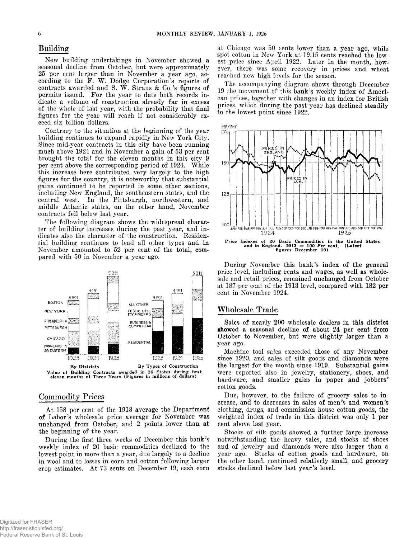# **Building**

New building undertakings in November showed a seasonal decline from October, but were approximately 25 per cent larger than in November a year ago, according to the F. W. Dodge Corporation's reports of contracts awarded and S. W . Straus & Co.'s figures of permits issued. For the year to date both records indicate a volume of construction already far in excess of the whole of last year, with the probability that final figures for the year will reach if not considerably exceed six billion dollars.

Contrary to the situation at the beginning of the year building continues to expand rapidly in New York City. Since mid-year contracts in this city have been running much above 1924 and in November a gain of 53 per cent brought the total for the eleven months in this city 9 per cent above the corresponding period of 1924. While this increase here contributed very largely to the high figures for the country, it is noteworthy that substantial gains continued to be reported in some other sections, including New England, the southeastern states, and the central west. In the Pittsburgh, northwestern, and middle Atlantic states, on the other hand, November contracts fell below last year.

The following diagram shows the widespread character of building increases during the past year, and indicates also the character of the construction. Residential building continues to lead all other types and in November amounted to 52 per cent of the total, compared with 50 in November a year ago.



**Value of Building Contracts awarded in ^ 36 States during first eleven months of Three Years (Figures in millions of dollars)**

## **Commodity Prices**

At 158 per cent of the 1913 average the Department of Labor's wholesale price average for November was unchanged from October, and 2 points lower than at the beginning of the year.

During the first three weeks of December this bank's weekly index of 20 basic commodities declined to the lowest point in more than a year, due largely to a decline in wool and to losses in corn and cotton following larger crop estimates. At 73 cents on December 19, cash corn

at Chicago was 50 cents lower than a year ago, while spot cotton in New York at 19.15 cents reached the lowest price since April 1922. Later in the month, however, there was some recovery in prices and wheat reached new high levels for the season.

The accompanying diagram shows through December 19 the movement of this bank's weekly index of American prices, together with changes in an index for British prices, which during the past year has declined steadily to the lowest point since 1922.



During November this bank's index of the general price level, including rents and wages, as well as wholesale and retail prices, remained unchanged from October at 187 per cent of the 1913 level, compared with 182 per cent in November 1924.

### **Wholesale Trade**

Sales of nearly 200 wholesale dealers in this district showed a seasonal decline of about **24 per** cent **from** October to November, but were slightly larger than a year ago.

Machine tool sales exceeded those of any November since 1920, and sales of silk goods and diamonds were the largest for the month since 1919. Substantial gains were reported also in jewelry, stationery, shoes, and hardware, and smaller gains in paper and jobbers' cotton goods.

Due, however, to the failure of grocery sales to increase, and to decreases in sales of men's and women's clothing, drugs, and commission house cotton goods, the weighted index of trade in this district was only 1 per cent above last year.

Stocks of silk goods showed a further large increase notwithstanding the heavy sales, and stocks of shoes and of jewelry and diamonds were also larger than a year ago. Stocks of cotton goods and hardware, on the other hand, continued relatively small, and grocery stocks declined below last year's level.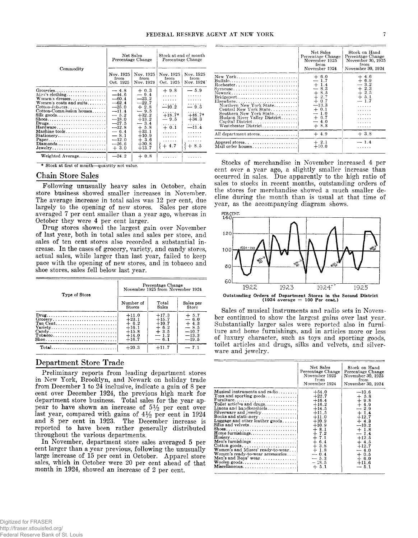|                                                                                                                                                                                                                                                                                                      |                                                                                                                                                              | Net Sales<br>Percentage Change                                                                                                                              | Stock at end of month<br>Percentage Change                                                                          |                                                                                                           |
|------------------------------------------------------------------------------------------------------------------------------------------------------------------------------------------------------------------------------------------------------------------------------------------------------|--------------------------------------------------------------------------------------------------------------------------------------------------------------|-------------------------------------------------------------------------------------------------------------------------------------------------------------|---------------------------------------------------------------------------------------------------------------------|-----------------------------------------------------------------------------------------------------------|
| Commodity                                                                                                                                                                                                                                                                                            | Nov. 1925<br>Nov. 1925<br>from<br>from<br>Oct. 1925<br>Nov. 1924                                                                                             |                                                                                                                                                             | Nov. 1925<br>from<br>Oct. 1925                                                                                      | Nov. 1925<br>from<br>Nov. 1924                                                                            |
| Groceries<br>Men's clothing<br>Women's dresses<br>Women's coats and suits<br>Cotton-Joboers<br>Cotton-Commission houses<br>Silk goods<br>$Drugs \ldots \ldots \ldots \ldots \ldots \ldots \ldots$<br>Machine tools.<br>Stationery<br>$Diamonds \ldots \ldots \ldots \ldots \ldots \ldots$<br>Jewelry | $-4.8$<br>$-44.6$<br>$-60.4$<br>$-62.4$<br>$-25.0$<br>$-11.4$<br>$-5.2$<br>$-18.0$<br>$-27.5$<br>$-12.8$<br>$-6.4$<br>$-8.1$<br>$-12.0$<br>$-16.6$<br>$+3.0$ | $+0.3$<br>$-9.4$<br>$-23.2$<br>$-22.7$<br>$+2.8$<br>$-9.5$<br>$+32.2$<br>$+13.2$<br>$-3.4$<br>$+ 5.8$<br>$+33.1$<br>$+10.9$<br>$+3.6$<br>$+30.8$<br>$+13.7$ | $+9.8$<br>1.1.1.1.1<br>1.1.1.1.1<br>.<br>$-10.2$<br>.<br>$+18.7*$<br>$-9.5$<br>.<br>$+0.1$<br>.<br>.<br>.<br>$+4.7$ | $-5.9$<br>.<br>.<br>.<br>$-9.5$<br>.<br>$+46.7*$<br>$+34.3$<br>$\mathbb{Z}$ ii'4<br>.<br>.<br>.<br>$+8.5$ |
| Weighted Average                                                                                                                                                                                                                                                                                     | $-24.2$                                                                                                                                                      | $+0.8$                                                                                                                                                      |                                                                                                                     |                                                                                                           |

**\* Stock at first of month—quantity not value.**

## **Chain Store Sales**

Following unusually heavy sales in October, chain store business showed smaller increases in November. The average increase in total sales was 12 per cent, due largely to the opening of new stores. Sales per store averaged 7 per cent smaller than a year ago, whereas in October they were 4 per cent larger.

Drug stores showed the largest gain over November of last year, both in total sales and sales per store, and sales of ten cent stores also recorded a substantial increase. In the cases of grocery, variety, and candy stores, actual sales, while larger than last year, failed to keep pace with the opening of new stores, and in tobacco and shoe stores, sales fell below last year.

| Type of Store                                                                                                                                                                                             | Percentage Change<br>November 1925 from November 1924<br>Number of<br>Total<br>Sales per<br>Sales<br><b>Stores</b><br>Store |                                                                       |                                                                        |
|-----------------------------------------------------------------------------------------------------------------------------------------------------------------------------------------------------------|-----------------------------------------------------------------------------------------------------------------------------|-----------------------------------------------------------------------|------------------------------------------------------------------------|
|                                                                                                                                                                                                           |                                                                                                                             |                                                                       |                                                                        |
| $Drug \ldots \ldots \ldots \ldots \ldots \ldots \ldots \ldots$<br>$Group, \ldots, \ldots, \ldots, \ldots, \ldots, \ldots]$<br>Variety<br>$\text{Tobase} \ldots \ldots \ldots \ldots \ldots \ldots \ldots$ | $+11.0$<br>$+23.1$<br>$+6.2$<br>$+16.1$<br>$+15.8$<br>$+14.0$<br>$+16.7$                                                    | $+17.3$<br>$+15.7$<br>$+10.7$<br>$+6.2$<br>$+3.5$<br>$-1.2$<br>$-6.1$ | $+ 5.7$<br>$-6.0$<br>$+4.3$<br>$-8.5$<br>$-10.7$<br>$-13.3$<br>$-19.5$ |
| Total                                                                                                                                                                                                     | $+20.3$                                                                                                                     | $+11.7$                                                               | $-71$                                                                  |

## **Department Store Trade**

Preliminary reports from leading department stores in New York, Brooklyn, and Newark on holiday trade from December 1 to 24 inclusive, indicate a gain of 8 per cent over December 1924, the previous high mark for department store business. Total sales for the year appear to have shown an increase of  $5\frac{1}{2}$  per cent over last year, compared with gains of  $4\frac{1}{2}$  per cent in 1924 and 8 per cent in 1923. The December increase is reported to have been rather generally distributed throughout the various departments.

In November, department store sales averaged 5 per cent larger than a year previous, following the unusually large increase of 15 per cent in October. Apparel store sales, which in October were 20 per cent ahead of that month in 1924, showed an increase of 2 per cent.

|                                                                                                                                                                                                                                                                                           | Net Sales<br>Percentage Change<br>November 1925<br>from<br>November 1924                                                          | Stock on Hand<br>Percentage Change<br>November 30, 1925<br>from<br>November 30, 1924    |
|-------------------------------------------------------------------------------------------------------------------------------------------------------------------------------------------------------------------------------------------------------------------------------------------|-----------------------------------------------------------------------------------------------------------------------------------|-----------------------------------------------------------------------------------------|
| New York<br>Buffalo<br>Rochester<br>Syracuse<br>$\text{Bridgeport} \dots \dots \dots \dots \dots \dots \dots$<br>$E$ lsewhere<br>Northern New York State<br>Central New York State<br>Southern New York State<br>Hudson River Valley District<br>Capital District<br>Westchester District | $+ 6.0$<br>$-1.7$<br>$+1.4$<br>$-8.3$<br>$+8.5$<br>$+2.7$<br>$+0.7$<br>$-13.3$<br>$+0.1$<br>$-1.0$<br>$+ 6.7$<br>$-4.0$<br>$+8.8$ | $+4.6$<br>$+6.9$<br>$-3.2$<br>$+2.3$<br>$+2.5$<br>$+ 5.1$<br>$-1.7$<br>.<br>.<br>.<br>. |
| All department stores                                                                                                                                                                                                                                                                     | $+4.9$                                                                                                                            | $+3.8$                                                                                  |
| Apparel stores<br>Mail order houses                                                                                                                                                                                                                                                       | $+2.1$<br>$+10.0$                                                                                                                 | $-1.4$                                                                                  |

Stocks of merchandise in November increased 4 per cent over a year ago, a slightly smaller increase than occurred in sales. Due apparently to the high ratio of sales to stocks in recent months, outstanding orders of the stores for merchandise showed a much smaller decline during the month than is usual at that time of year, as the accompanying diagram shows.



Sales of musical instruments and radio sets in November continued to show the largest gains over last year. Substantially larger sales were reported also in furniture and home furnishings, and in articles more or less of luxury character, such as toys and sporting goods, toilet articles and drugs, silks and velvets, and silverware and jewelry.

|                                                                  | Net Sales<br>Percentage Change<br>November 1925<br>from<br>November 1924 | Stock on Hand<br>Percentage Change<br>November 30, 1925<br>from<br>November 30, 1924 |
|------------------------------------------------------------------|--------------------------------------------------------------------------|--------------------------------------------------------------------------------------|
| Musical instruments and radio                                    | $+54.0$                                                                  | $-10.6$                                                                              |
| Toys and sporting goods                                          | $+22.7$                                                                  | $+ 5.8$                                                                              |
| Furniture                                                        | $+16.4$                                                                  | $+9.8$                                                                               |
| Toilet articles and drugs                                        | $+16.2$                                                                  | $+4.9$                                                                               |
| Linens and handkerchiefs $\ldots$ ,,,,,,,,,                      | $+14.5$                                                                  | $-2.9$                                                                               |
| Silverware and jewelry                                           | $+11.5$                                                                  | $+1.4$                                                                               |
| Books and stationery                                             | $+11.0$                                                                  | $+12.7$                                                                              |
| Luggage and other leather goods                                  | $+10.9$                                                                  | $+4.3$                                                                               |
| Silks and velvets                                                | $+10.9$                                                                  | $-10.2$                                                                              |
| Shoes                                                            | $+8.1$                                                                   | $+1.8$                                                                               |
| <b>Home furnishings</b>                                          | $+7.2$                                                                   | $-1.4$                                                                               |
|                                                                  | $+7.1$                                                                   | $+12.5$                                                                              |
| Men's furnishings                                                | $+6.4$                                                                   | $+4.5$                                                                               |
| $\text{Cottom goods.} \dots \dots \dots \dots \dots \dots \dots$ | $+3.8$                                                                   | $+12.7$                                                                              |
| Women's and Misses' ready-to-wear                                | $+1.8$                                                                   | $-4.0$                                                                               |
| Women's ready-to-wear accessories                                | $-0.4$                                                                   | $+0.5$                                                                               |
| Men's and Boys' wear                                             | $-5.3$                                                                   | $+6.0$                                                                               |
|                                                                  | $-18.5$                                                                  | $+11.6$                                                                              |
| Miscellaneous                                                    | $+5.1$                                                                   | $-5.1$                                                                               |